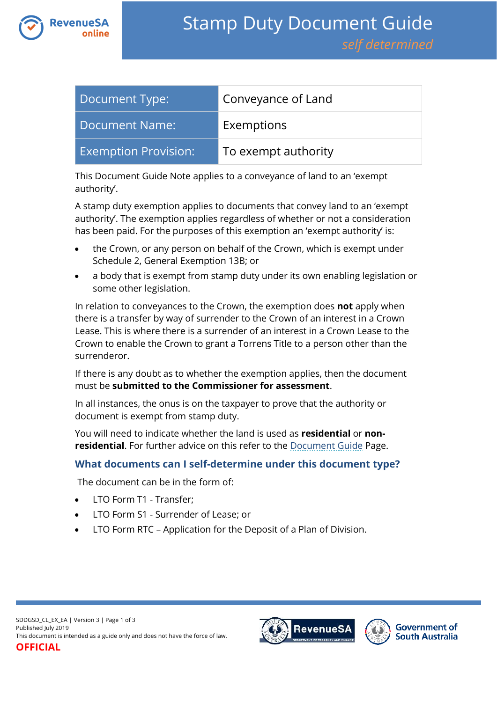

| Document Type:              | Conveyance of Land  |
|-----------------------------|---------------------|
| <b>Document Name:</b>       | Exemptions          |
| <b>Exemption Provision:</b> | To exempt authority |

This Document Guide Note applies to a conveyance of land to an 'exempt authority'.

A stamp duty exemption applies to documents that convey land to an 'exempt authority'. The exemption applies regardless of whether or not a consideration has been paid. For the purposes of this exemption an 'exempt authority' is:

- the Crown, or any person on behalf of the Crown, which is exempt under Schedule 2, General Exemption 13B; or
- a body that is exempt from stamp duty under its own enabling legislation or some other legislation.

In relation to conveyances to the Crown, the exemption does **not** apply when there is a transfer by way of surrender to the Crown of an interest in a Crown Lease. This is where there is a surrender of an interest in a Crown Lease to the Crown to enable the Crown to grant a Torrens Title to a person other than the surrenderor.

If there is any doubt as to whether the exemption applies, then the document must be **submitted to the Commissioner for assessment**.

In all instances, the onus is on the taxpayer to prove that the authority or document is exempt from stamp duty.

You will need to indicate whether the land is used as **residential** or **nonresidential**. For further advice on this refer to the **Document Guide Page**.

## **What documents can I self-determine under this document type?**

The document can be in the form of:

- LTO Form T1 Transfer;
- LTO Form S1 Surrender of Lease; or
- LTO Form RTC Application for the Deposit of a Plan of Division.



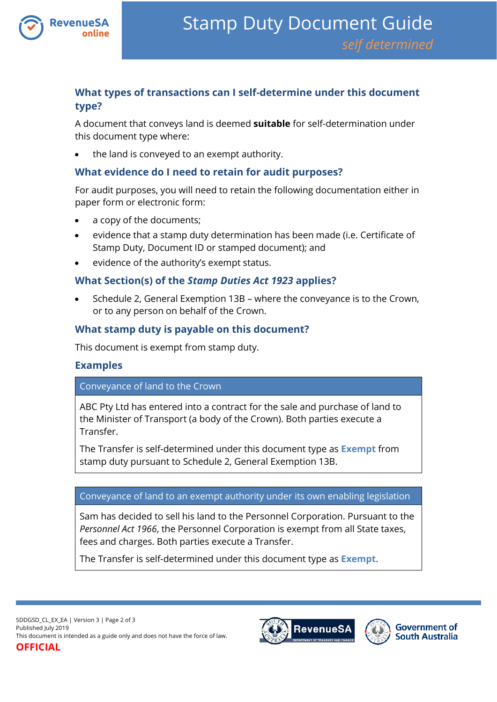

# **What types of transactions can I self-determine under this document type?**

A document that conveys land is deemed **suitable** for self-determination under this document type where:

the land is conveyed to an exempt authority.

## **What evidence do I need to retain for audit purposes?**

For audit purposes, you will need to retain the following documentation either in paper form or electronic form:

- a copy of the documents;
- evidence that a stamp duty determination has been made (i.e. Certificate of Stamp Duty, Document ID or stamped document); and
- evidence of the authority's exempt status.

## **What Section(s) of the** *Stamp Duties Act 1923* **applies?**

 Schedule 2, General Exemption 13B – where the conveyance is to the Crown, or to any person on behalf of the Crown.

# **What stamp duty is payable on this document?**

This document is exempt from stamp duty.

## **Examples**

#### Conveyance of land to the Crown

ABC Pty Ltd has entered into a contract for the sale and purchase of land to the Minister of Transport (a body of the Crown). Both parties execute a Transfer.

The Transfer is self-determined under this document type as **Exempt** from stamp duty pursuant to Schedule 2, General Exemption 13B.

#### Conveyance of land to an exempt authority under its own enabling legislation

Sam has decided to sell his land to the Personnel Corporation. Pursuant to the *Personnel Act 1966*, the Personnel Corporation is exempt from all State taxes, fees and charges. Both parties execute a Transfer.

The Transfer is self-determined under this document type as **Exempt**.